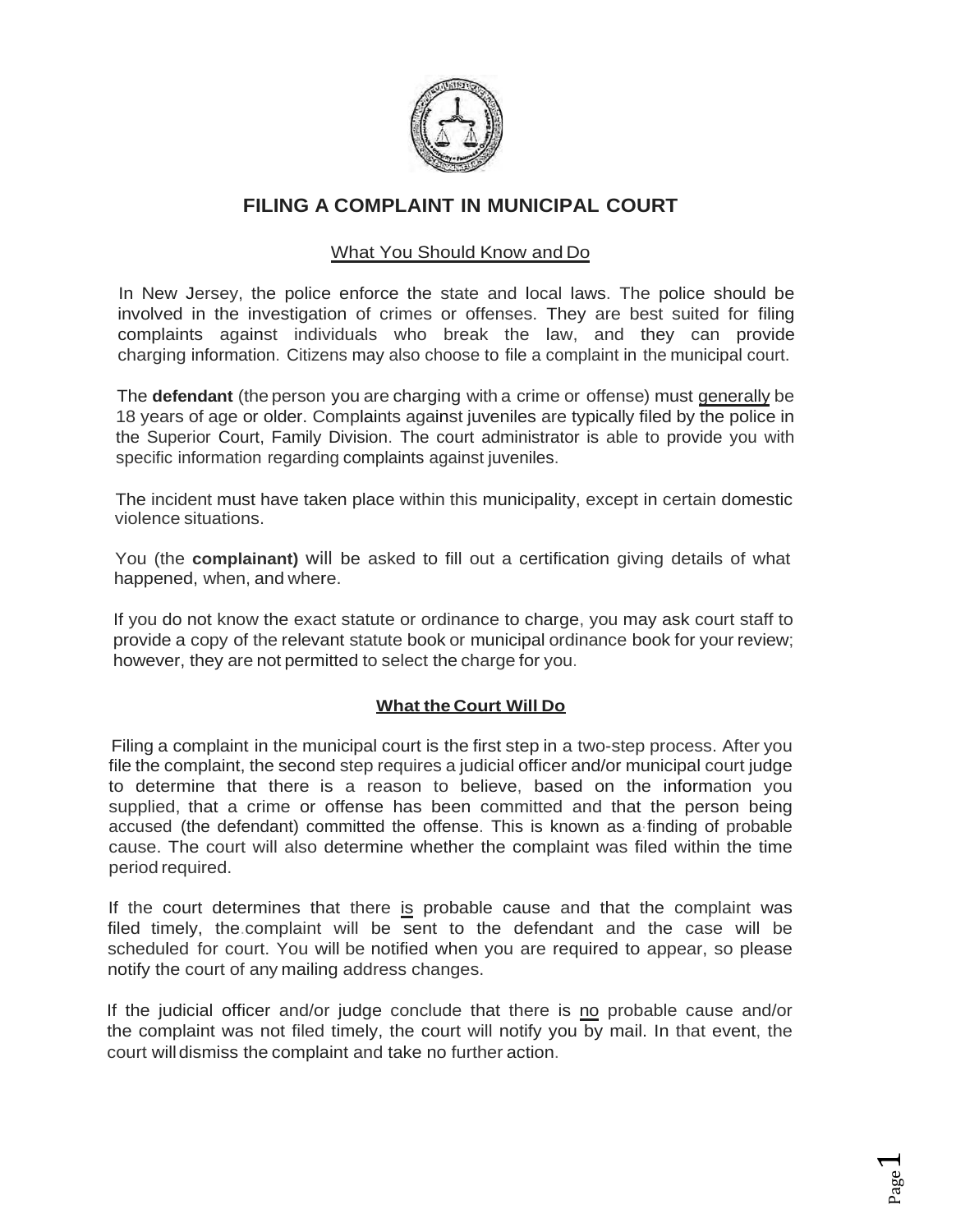

## **FILING A COMPLAINT IN MUNICIPAL COURT**

## What You Should Know and Do

In New Jersey, the police enforce the state and local laws. The police should be involved in the investigation of crimes or offenses. They are best suited for filing complaints against individuals who break the law, and they can provide charging information. Citizens may also choose to file a complaint in the municipal court.

The **defendant** (the person you are charging with a crime or offense) must generally be 18 years of age or older. Complaints against juveniles are typically filed by the police in the Superior Court, Family Division. The court administrator is able to provide you with specific information regarding complaints against juveniles.

The incident must have taken place within this municipality, except in certain domestic violence situations.

You (the **complainant)** will be asked to fill out a certification giving details of what happened, when, and where.

If you do not know the exact statute or ordinance to charge, you may ask court staff to provide a copy of the relevant statute book or municipal ordinance book for your review; however, they are not permitted to select the charge for you.

## **What the Court Will Do**

Filing a complaint in the municipal court is the first step in a two-step process. After you file the complaint, the second step requires a judicial officer and/or municipal court judge to determine that there is a reason to believe, based on the information you supplied, that a crime or offense has been committed and that the person being accused (the defendant) committed the offense. This is known as a·finding of probable cause. The court will also determine whether the complaint was filed within the time period required.

If the court determines that there is probable cause and that the complaint was filed timely, the.complaint will be sent to the defendant and the case will be scheduled for court. You will be notified when you are required to appear, so please notify the court of any mailing address changes.

If the judicial officer and/or judge conclude that there is no probable cause and/or the complaint was not filed timely, the court will notify you by mail. In that event, the court will dismiss the complaint and take no further action.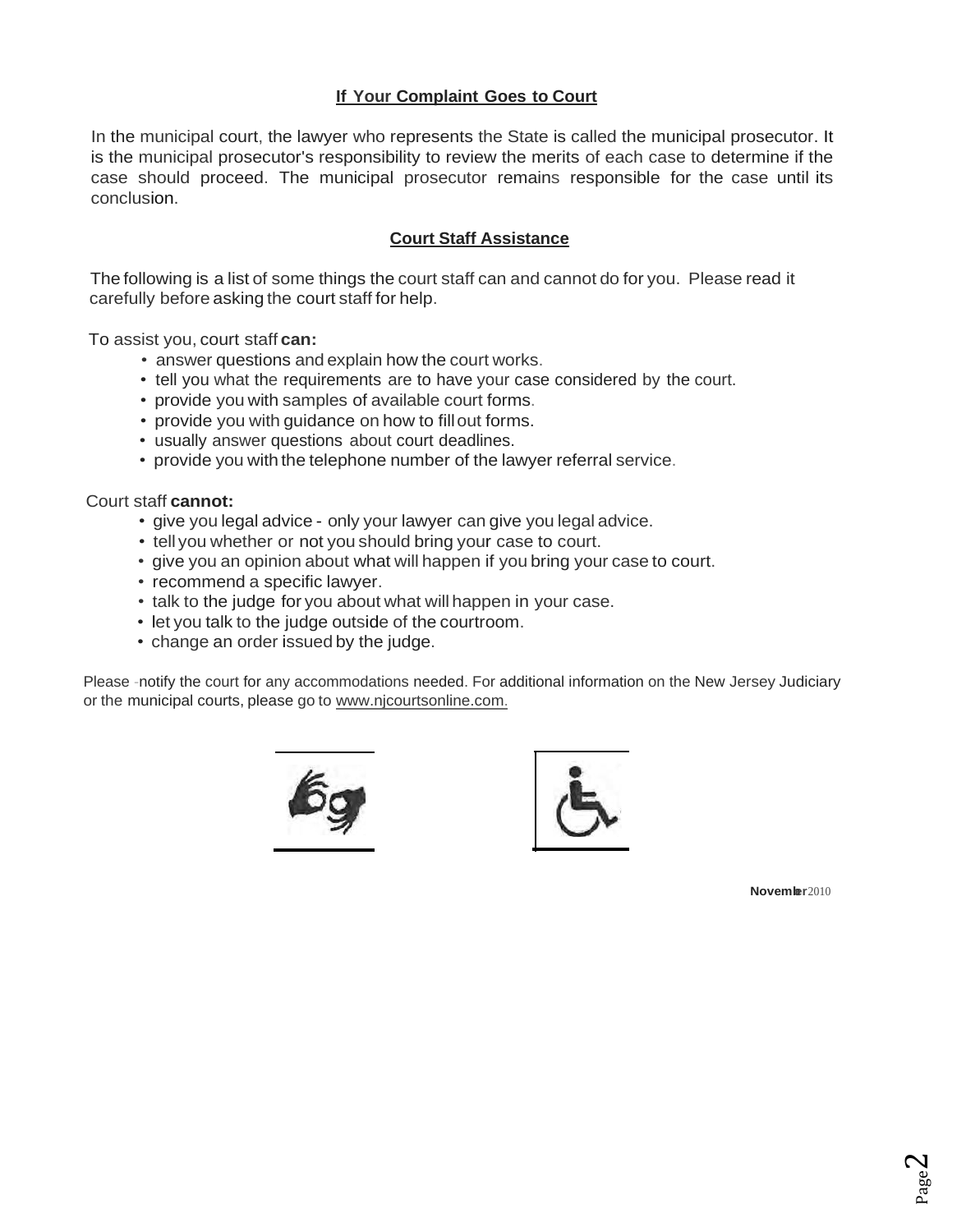## **If Your Complaint Goes to Court**

In the municipal court, the lawyer who represents the State is called the municipal prosecutor. It is the municipal prosecutor's responsibility to review the merits of each case to determine if the case should proceed. The municipal prosecutor remains responsible for the case until its conclusion.

## **Court Staff Assistance**

The following is a list of some things the court staff can and cannot do for you. Please read it carefully before asking the court staff for help.

To assist you, court staff **can:**

- answer questions and explain how the court works.
- tell you what the requirements are to have your case considered by the court.
- provide you with samples of available court forms.
- provide you with quidance on how to fill out forms.
- usually answer questions about court deadlines.
- provide you with the telephone number of the lawyer referral service.

#### Court staff **cannot:**

- give you legal advice only your lawyer can give you legal advice.
- tell you whether or not you should bring your case to court.
- give you an opinion about what will happen if you bring your case to court.
- recommend a specific lawyer.
- talk to the judge for you about what will happen in your case.
- let you talk to the judge outside of the courtroom.
- change an order issued by the judge.

Please -notify the court for any accommodations needed. For additional information on the New Jersey Judiciary or the municipal courts, please go to www.nj[courtsonline.com.](http://www.nicourtsonline.com/)





**November**2010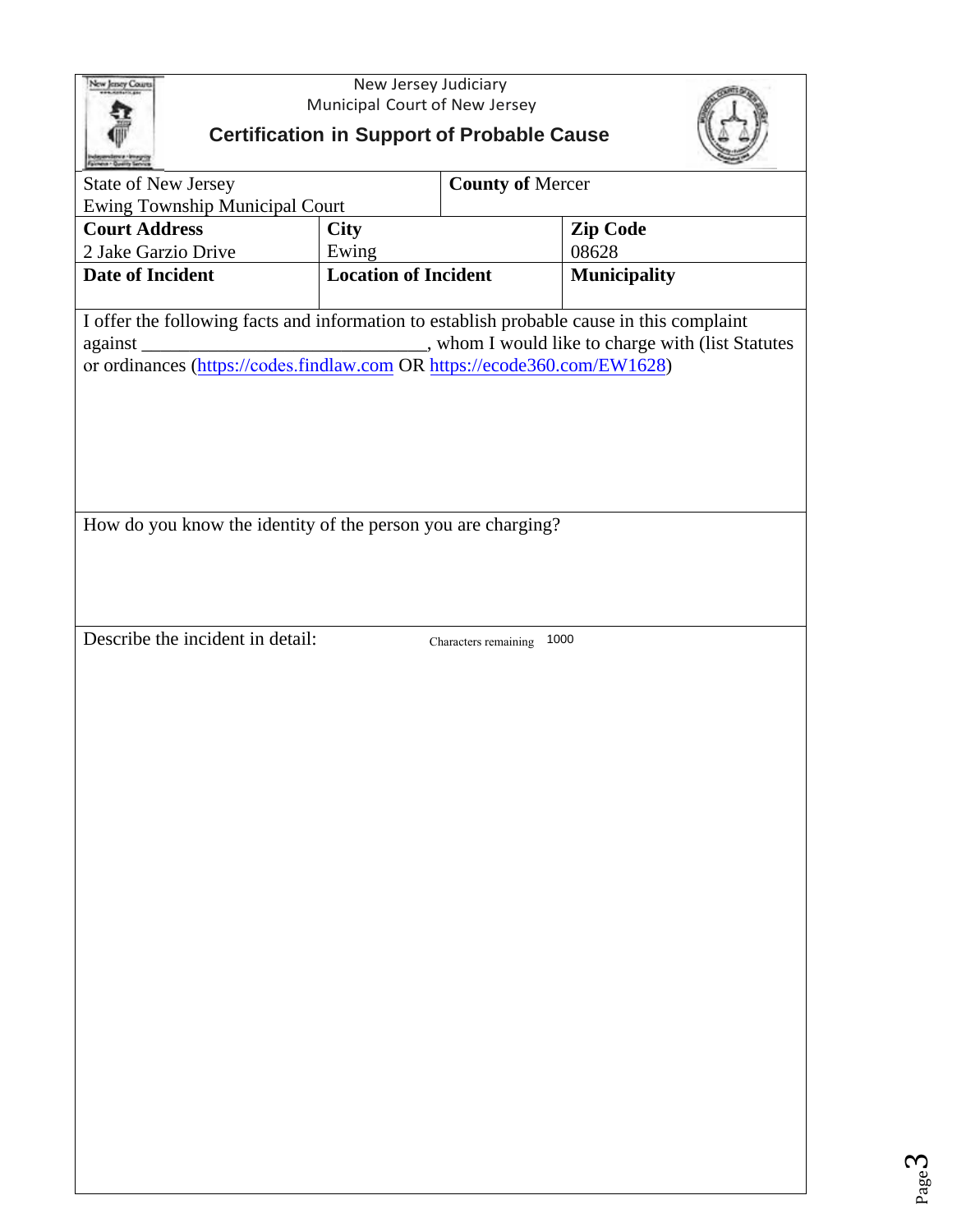

New Jersey Judiciary Municipal Court of New Jersey

# **Certification in Support of Probable Cause**



| Fairway - Quelly Service                                                                                                                                                                                                                         |                             |                         |                     |  |  |  |  |
|--------------------------------------------------------------------------------------------------------------------------------------------------------------------------------------------------------------------------------------------------|-----------------------------|-------------------------|---------------------|--|--|--|--|
| <b>State of New Jersey</b>                                                                                                                                                                                                                       |                             | <b>County of Mercer</b> |                     |  |  |  |  |
| <b>Ewing Township Municipal Court</b>                                                                                                                                                                                                            |                             |                         |                     |  |  |  |  |
| <b>Court Address</b>                                                                                                                                                                                                                             | <b>City</b>                 |                         | <b>Zip Code</b>     |  |  |  |  |
| 2 Jake Garzio Drive                                                                                                                                                                                                                              | Ewing                       |                         | 08628               |  |  |  |  |
| <b>Date of Incident</b>                                                                                                                                                                                                                          | <b>Location of Incident</b> |                         | <b>Municipality</b> |  |  |  |  |
|                                                                                                                                                                                                                                                  |                             |                         |                     |  |  |  |  |
| I offer the following facts and information to establish probable cause in this complaint<br>against<br>or ordinances (https://codes.findlaw.com OR https://ecode360.com/EW1628)<br>How do you know the identity of the person you are charging? |                             |                         |                     |  |  |  |  |
| Describe the incident in detail:                                                                                                                                                                                                                 |                             | Characters remaining    | 1000                |  |  |  |  |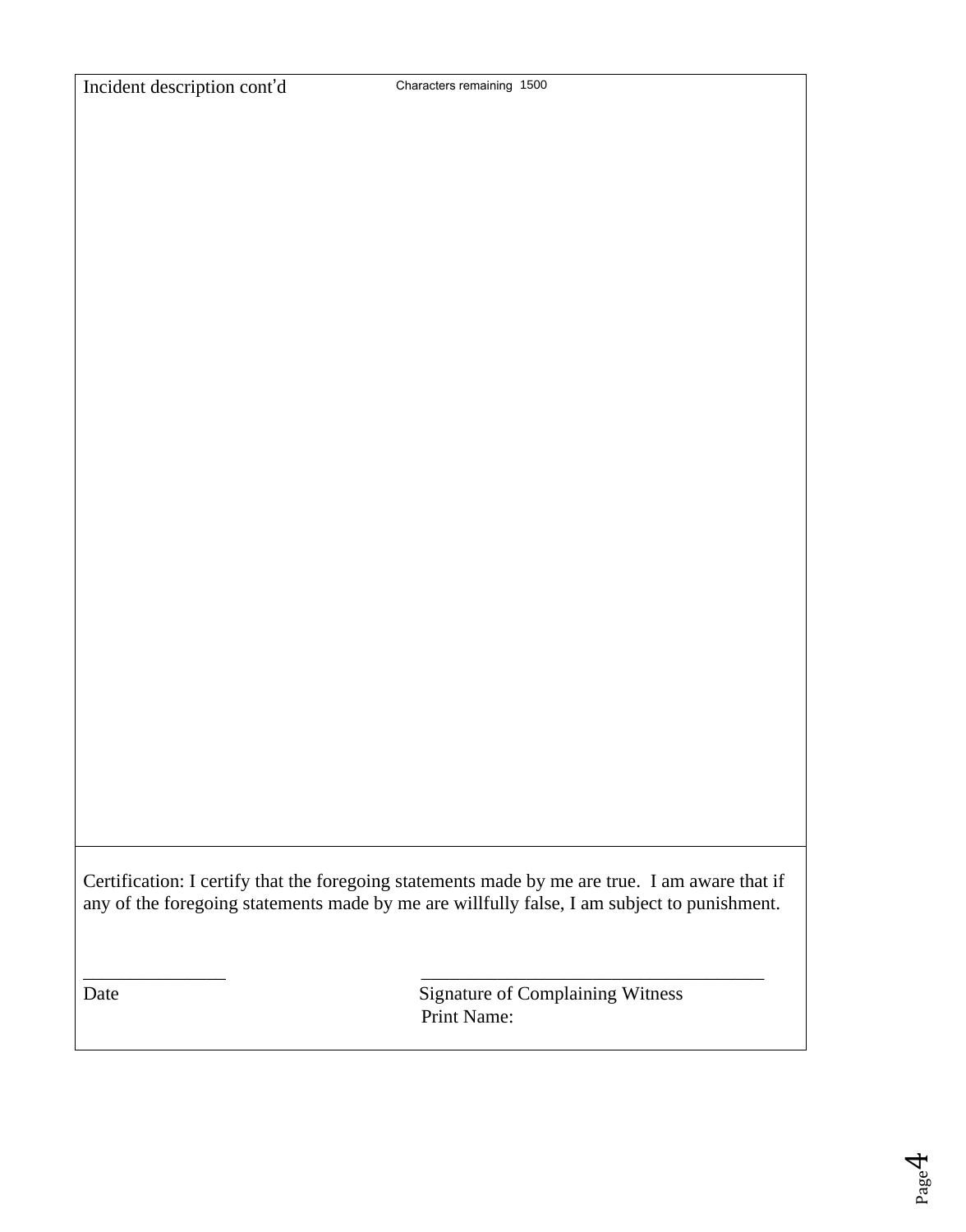Certification: I certify that the foregoing statements made by me are true. I am aware that if any of the foregoing statements made by me are willfully false, I am subject to punishment.

\_\_\_\_\_\_\_\_\_\_\_\_\_\_\_ \_\_\_\_\_\_\_\_\_\_\_\_\_\_\_\_\_\_\_\_\_\_\_\_\_\_\_\_\_\_\_\_\_\_\_\_

Date Signature of Complaining Witness Print Name: